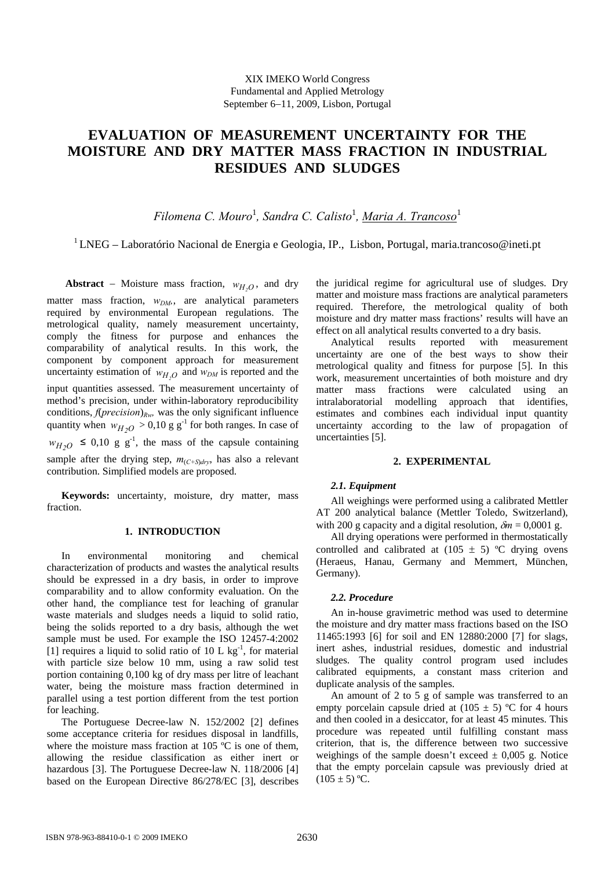## XIX IMEKO World Congress Fundamental and Applied Metrology September 6−11, 2009, Lisbon, Portugal

# **EVALUATION OF MEASUREMENT UNCERTAINTY FOR THE MOISTURE AND DRY MATTER MASS FRACTION IN INDUSTRIAL RESIDUES AND SLUDGES**

*Filomena C. Mouro*<sup>1</sup> *, Sandra C. Calisto*<sup>1</sup> *, Maria A. Trancoso*<sup>1</sup>

<sup>1</sup> LNEG – Laboratório Nacional de Energia e Geologia, IP., Lisbon, Portugal, [maria.trancoso@ineti.pt](mailto:maria.trancoso@ineti.pt)

**Abstract** – Moisture mass fraction,  $w_{H_2O}$ , and dry matter mass fraction,  $w_{DM}$ , are analytical parameters required by environmental European regulations. The metrological quality, namely measurement uncertainty, comply the fitness for purpose and enhances the comparability of analytical results. In this work, the component by component approach for measurement uncertainty estimation of  $w_{H,O}$  and  $w_{DM}$  is reported and the input quantities assessed. The measurement uncertainty of method's precision, under within-laboratory reproducibility conditions, *f*(*precision*)*Rw,* was the only significant influence quantity when  $w_{H_2O} > 0.10$  g g<sup>-1</sup> for both ranges. In case of  $W_{H_2O} \leq 0.10$  g g<sup>-1</sup>, the mass of the capsule containing sample after the drying step,  $m_{(C+S)drv}$ , has also a relevant contribution. Simplified models are proposed.

**Keywords:** uncertainty, moisture, dry matter, mass fraction.

### **1. INTRODUCTION**

In environmental monitoring and chemical characterization of products and wastes the analytical results should be expressed in a dry basis, in order to improve comparability and to allow conformity evaluation. On the other hand, the compliance test for leaching of granular waste materials and sludges needs a liquid to solid ratio, being the solids reported to a dry basis, although the wet sample must be used. For example the ISO 12457-4:2002 [1] requires a liquid to solid ratio of 10 L  $kg^{-1}$ , for material with particle size below 10 mm, using a raw solid test portion containing 0,100 kg of dry mass per litre of leachant water, being the moisture mass fraction determined in parallel using a test portion different from the test portion for leaching.

The Portuguese Decree-law N. 152/2002 [2] defines some acceptance criteria for residues disposal in landfills, where the moisture mass fraction at 105 °C is one of them, allowing the residue classification as either inert or hazardous [3]. The Portuguese Decree-law N. 118/2006 [4] based on the European Directive 86/278/EC [3], describes the juridical regime for agricultural use of sludges. Dry matter and moisture mass fractions are analytical parameters required. Therefore, the metrological quality of both moisture and dry matter mass fractions' results will have an effect on all analytical results converted to a dry basis.

Analytical results reported with measurement uncertainty are one of the best ways to show their metrological quality and fitness for purpose [5]. In this work, measurement uncertainties of both moisture and dry matter mass fractions were calculated using an intralaboratorial modelling approach that identifies, estimates and combines each individual input quantity uncertainty according to the law of propagation of uncertainties [5].

### **2. EXPERIMENTAL**

# *2.1. Equipment*

All weighings were performed using a calibrated Mettler AT 200 analytical balance (Mettler Toledo, Switzerland), with 200 g capacity and a digital resolution,  $\delta m = 0,0001$  g.

All drying operations were performed in thermostatically controlled and calibrated at  $(105 \pm 5)$  °C drying ovens (Heraeus, Hanau, Germany and Memmert, München, Germany).

### *2.2. Procedure*

An in-house gravimetric method was used to determine the moisture and dry matter mass fractions based on the ISO 11465:1993 [6] for soil and EN 12880:2000 [7] for slags, inert ashes, industrial residues, domestic and industrial sludges. The quality control program used includes calibrated equipments, a constant mass criterion and duplicate analysis of the samples.

An amount of 2 to 5 g of sample was transferred to an empty porcelain capsule dried at  $(105 \pm 5)$  °C for 4 hours and then cooled in a desiccator, for at least 45 minutes. This procedure was repeated until fulfilling constant mass criterion, that is, the difference between two successive weighings of the sample doesn't exceed  $\pm$  0,005 g. Notice that the empty porcelain capsule was previously dried at  $(105 \pm 5)$  °C.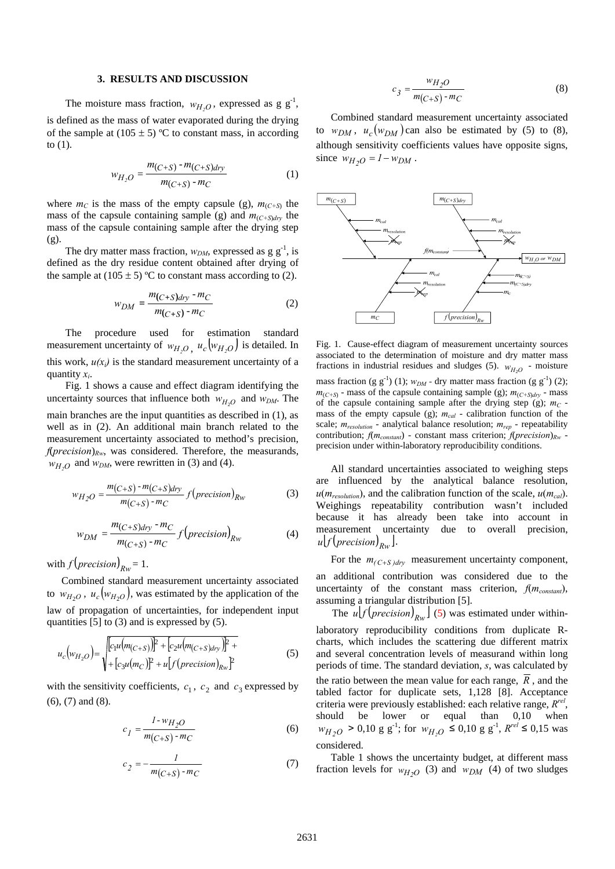# **3. RESULTS AND DISCUSSION**

The moisture mass fraction,  $w_{H,O}$ , expressed as g  $g^{-1}$ , is defined as the mass of water evaporated during the drying of the sample at  $(105 \pm 5)$  °C to constant mass, in according to (1).

$$
w_{H_2O} = \frac{m_{(C+S)} - m_{(C+S) \, dry}}{m_{(C+S)} - m_C} \tag{1}
$$

where  $m_C$  is the mass of the empty capsule (g),  $m_{(C+S)}$  the mass of the capsule containing sample (g) and  $m_{(C+S)dy}$  the mass of the capsule containing sample after the drying step (g).

The dry matter mass fraction,  $w_{DM}$ , expressed as g  $g^{-1}$ , is defined as the dry residue content obtained after drying of the sample at  $(105 \pm 5)$  °C to constant mass according to (2).

$$
w_{DM} = \frac{m_{(C+S)dry} \cdot m_C}{m_{(C+S)} \cdot m_C}
$$
 (2)

 The procedure used for estimation standard measurement uncertainty of  $w_{H,O}$ ,  $u_c(w_{H,O})$  is detailed. In this work,  $u(x_i)$  is the standard measurement uncertainty of a quantity *xi*.

 Fig. 1 shows a cause and effect diagram identifying the uncertainty sources that influence both  $w_{H_2O}$  and  $w_{DM}$ . The main branches are the input quantities as described in (1), as well as in (2). An additional main branch related to the measurement uncertainty associated to method's precision,  $f(\text{precision})_{\text{Rw}}$ , was considered. Therefore, the measurands,  $W_{H,Q}$  and  $W_{DM}$ , were rewritten in (3) and (4).

$$
w_{H_2O} = \frac{m_{(C+S)} - m_{(C+S)dry}}{m_{(C+S)} - m_C} f(precision)_{Rw}
$$
 (3)

$$
w_{DM} = \frac{m_{(C+S)dry} \cdot m_C}{m_{(C+S)} \cdot m_C} f(precision)_{Rw}
$$
 (4)

with  $f(precision)_{Bw} = 1$ .

Combined standard measurement uncertainty associated to  $w_{H_2O}$ ,  $u_c(w_{H_2O})$ , was estimated by the application of the law of propagation of uncertainties, for independent input quantities [5] to (3) and is expressed by (5).

$$
u_c(w_{H_2O}) = \sqrt{\frac{[c_1u(m_{(C+S)})]^2 + [c_2u(m_{(C+S)dry})]^2 + [c_3u(m_C)]^2 + u[f(precision)_{Rw}]^2}}
$$
(5)

with the sensitivity coefficients,  $c_1$ ,  $c_2$  and  $c_3$  expressed by (6), (7) and (8).

$$
c_1 = \frac{l \cdot w_{H_2O}}{m_{(C+S)} \cdot m_C} \tag{6}
$$

$$
c_2 = -\frac{1}{m(C+S) - m_C} \tag{7}
$$

$$
c_3 = \frac{w_{H_2O}}{m_{(C+S)} - m_C} \tag{8}
$$

Combined standard measurement uncertainty associated to  $w_{DM}$ ,  $u_c(w_{DM})$  can also be estimated by (5) to (8), although sensitivity coefficients values have opposite signs, since  $w_{H_2O} = 1 - w_{DM}$ .



Fig. 1. Cause-effect diagram of measurement uncertainty sources associated to the determination of moisture and dry matter mass fractions in industrial residues and sludges (5).  $w_{H_2O}$  - moisture mass fraction (g  $g^{-1}$ ) (1);  $w_{DM}$  - dry matter mass fraction (g  $g^{-1}$ ) (2);  $m_{(C+S)}$  - mass of the capsule containing sample (g);  $m_{(C+S)dv}$  - mass of the capsule containing sample after the drying step  $(g)$ ;  $m<sub>C</sub>$  mass of the empty capsule (g);  $m_{cal}$  - calibration function of the scale;  $m_{resolution}$  - analytical balance resolution;  $m_{rep}$  - repeatability contribution; *f*(*mconstant*) - constant mass criterion; *f*(*precision*)*Rw* precision under within-laboratory reproducibility conditions.

All standard uncertainties associated to weighing steps are influenced by the analytical balance resolution,  $u(m_{resolution})$ , and the calibration function of the scale,  $u(m_{cal})$ . Weighings repeatability contribution wasn't included because it has already been take into account in measurement uncertainty due to overall precision,  $u | f (precision)_{Bw}$ .

For the  $m_{(C+S)dry}$  measurement uncertainty component,

an additional contribution was considered due to the uncertainty of the constant mass criterion,  $f(m_{constant})$ , assuming a triangular distribution [5].

The  $u \left[ f \left( \frac{precision}{R_W} \right] \right]$  (5) was estimated under withinlaboratory reproducibility conditions from duplicate Rcharts, which includes the scattering due different matrix and several concentration levels of measurand within long periods of time. The standard deviation, *s*, was calculated by the ratio between the mean value for each range, *R* , and the tabled factor for duplicate sets, 1,128 [8]. Acceptance criteria were previously established: each relative range, *Rrel*, should be lower or equal than 0,10 when  $W_{H_2O} > 0.10$  g g<sup>-1</sup>; for  $W_{H_2O} \le 0.10$  g g<sup>-1</sup>,  $R^{rel} \le 0.15$  was considered.

Table 1 shows the uncertainty budget, at different mass fraction levels for  $w_{H_2O}$  (3) and  $w_{DM}$  (4) of two sludges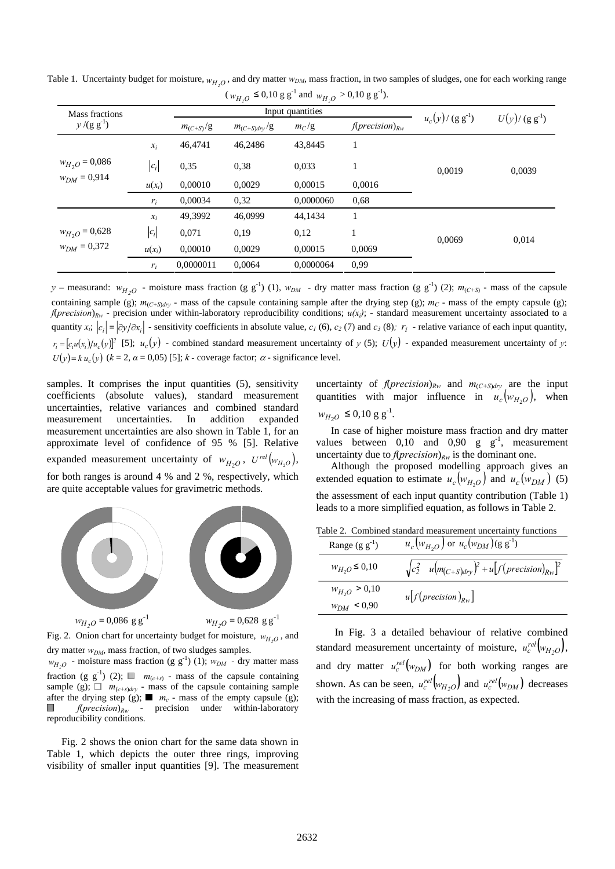| Mass fractions                         |          | 11,00<br>11 <sub>2</sub><br>Input quantities |                  |           |                             |                       |                |
|----------------------------------------|----------|----------------------------------------------|------------------|-----------|-----------------------------|-----------------------|----------------|
| $y/(g g^{-1})$                         |          | $m_{(C+S)}/g$                                | $m_{(C+S)div}/g$ | $m_C/g$   | $f(\text{precision})_{R_W}$ | $u_c(y) / (g g^{-1})$ | $U(y)/(g g-1)$ |
| $w_{H_2O} = 0,086$<br>$w_{DM} = 0.914$ | $x_i$    | 46,4741                                      | 46.2486          | 43,8445   | 1                           | 0.0019                | 0,0039         |
|                                        | $ c_i $  | 0.35                                         | 0.38             | 0,033     |                             |                       |                |
|                                        | $u(x_i)$ | 0,00010                                      | 0,0029           | 0,00015   | 0,0016                      |                       |                |
|                                        | $r_i$    | 0,00034                                      | 0.32             | 0,0000060 | 0.68                        |                       |                |
| $w_{H_2O} = 0,628$<br>$w_{DM} = 0,372$ | $x_i$    | 49,3992                                      | 46,0999          | 44,1434   |                             | 0.0069                | 0,014          |
|                                        | $ c_i $  | 0,071                                        | 0,19             | 0.12      |                             |                       |                |
|                                        | $u(x_i)$ | 0,00010                                      | 0,0029           | 0,00015   | 0,0069                      |                       |                |
|                                        | $r_i$    | 0,0000011                                    | 0,0064           | 0,0000064 | 0.99                        |                       |                |

Table 1. Uncertainty budget for moisture,  $w_{H,O}$ , and dry matter  $w_{DM}$ , mass fraction, in two samples of sludges, one for each working range  $(w_{H_2O} \le 0.10 \text{ g g}^{-1} \text{ and } w_{H_2O} > 0.10 \text{ g g}^{-1}).$ 

*y* – measurand:  $w_{H_2O}$  - moisture mass fraction (g g<sup>-1</sup>) (1),  $w_{DM}$  - dry matter mass fraction (g g<sup>-1</sup>) (2);  $m_{(C+S)}$  - mass of the capsule containing sample (g);  $m_{(C+5)dry}$  - mass of the capsule containing sample after the drying step (g);  $m_C$  - mass of the empty capsule (g); *f*(*precision*)<sub>*Rw*</sub> - precision under within-laboratory reproducibility conditions;  $u(x_i)$ ; - standard measurement uncertainty associated to a quantity  $x_i$ ;  $|c_i| = |\partial y / \partial x_i|$  - sensitivity coefficients in absolute value,  $c_1$  (6),  $c_2$  (7) and  $c_3$  (8);  $r_i$  - relative variance of each input quantity,  $r_i = [c_i u(x_i)] u_c(y)$ <sup>2</sup> [5];  $u_c(y)$  - combined standard measurement uncertainty of *y* (5);  $U(y)$  - expanded measurement uncertainty of *y*:  $U(y) = k u_c(y)$  ( $k = 2$ ,  $\alpha = 0.05$ ) [5];  $k$  - coverage factor;  $\alpha$  - significance level.

samples. It comprises the input quantities  $(5)$ , sensitivity coefficients (absolute values), standard measurement uncertainties, relative variances and combined standard measurement uncertainties. In addition expanded measurement uncertainties are also shown in Table 1, for an approximate level of confidence of 95 % [5]. Relative expanded measurement uncertainty of  $w_{H_2O}$ ,  $U^{rel}(w_{H_2O})$ , for both ranges is around 4 % and 2 %, respectively, which are quite acceptable values for gravimetric methods.



Fig. 2. Onion chart for uncertainty budget for moisture,  $w_{H_2O}$ , and dry matter  $w_{DM}$ , mass fraction, of two sludges samples.

 $w_{H,Q}$  - moisture mass fraction (g g<sup>-1</sup>) (1);  $w_{DM}$  - dry matter mass fraction (g  $g^{-1}$ ) (2);  $\Box$   $m_{(c+s)}$  - mass of the capsule containing sample (g);  $\Box$   $m_{(c+s)dry}$  - mass of the capsule containing sample after the drying step (g);  $\blacksquare$   $m_c$  - mass of the empty capsule (g); *f*(*precision*)*Rw* - precision under within-laboratory reproducibility conditions.

Fig. 2 shows the onion chart for the same data shown in Table 1, which depicts the outer three rings, improving visibility of smaller input quantities [9]. The measurement uncertainty of  $f(\text{precision})_{Rw}$  and  $m_{(C+S)dry}$  are the input quantities with major influence in  $u_c(w_{H_2O})$ , when  $w_{H_2O} \leq 0,10 \text{ g g}^{-1}.$ 

In case of higher moisture mass fraction and dry matter values between  $0,10$  and  $0,90$  g g<sup>-1</sup>, measurement uncertainty due to  $f(\text{precision})_{Rw}$  is the dominant one.

Although the proposed modelling approach gives an extended equation to estimate  $u_c (w_{H_2O})$  and  $u_c (w_{DM})$  (5) the assessment of each input quantity contribution (Table 1) leads to a more simplified equation, as follows in Table 2.

Table 2. Combined standard measurement uncertainty functions

| Range $(g g-1)$                      | $u_c(w_{H_2O})$ or $u_c(w_{DM})(g g^{-1})$                  |
|--------------------------------------|-------------------------------------------------------------|
| $w_{H_2O} \le 0.10$                  | $\sqrt{c_2^2}$ $u(m_{(C+S)dry})^2 + u[f(precision)_{Rw}]^2$ |
| $w_{H_2O} > 0.10$<br>$w_{DM}$ < 0,90 | $u[f(precision)_{Rw}]$                                      |

In Fig. 3 a detailed behaviour of relative combined standard measurement uncertainty of moisture,  $u_c^{rel} | w_{H_2O}$ , and dry matter  $u_c^{rel}(w_{DM})$  for both working ranges are shown. As can be seen,  $u_c^{rel}(w_{H_2O})$  and  $u_c^{rel}(w_{DM})$  decreases with the increasing of mass fraction, as expected.